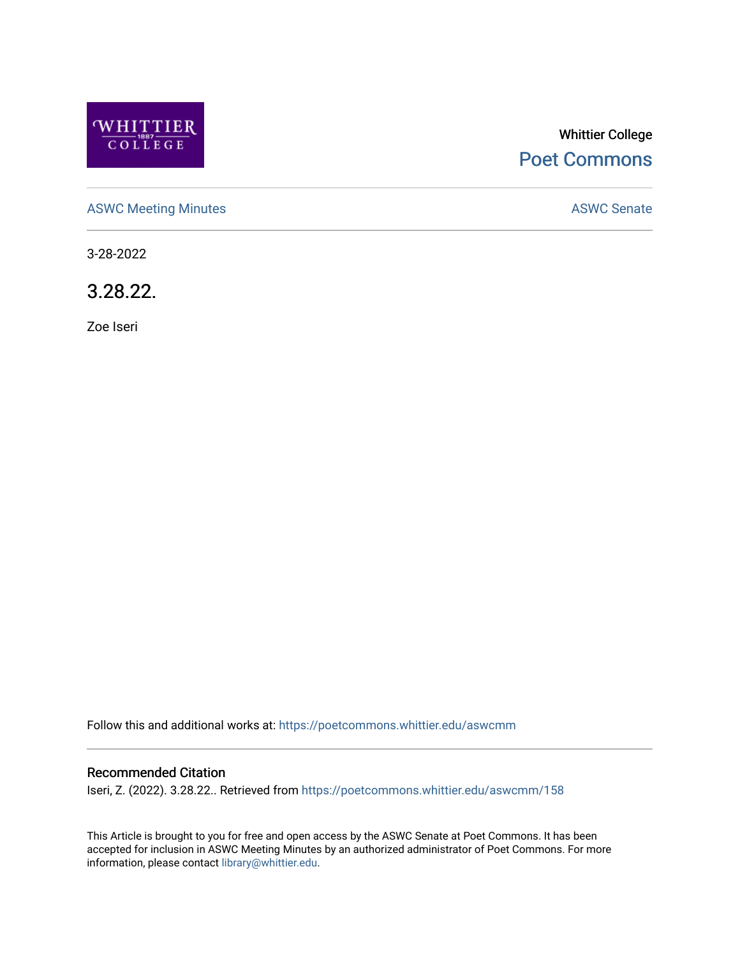

# Whittier College [Poet Commons](https://poetcommons.whittier.edu/)

[ASWC Meeting Minutes](https://poetcommons.whittier.edu/aswcmm) **ASWC Senate** 

3-28-2022

3.28.22.

Zoe Iseri

Follow this and additional works at: [https://poetcommons.whittier.edu/aswcmm](https://poetcommons.whittier.edu/aswcmm?utm_source=poetcommons.whittier.edu%2Faswcmm%2F158&utm_medium=PDF&utm_campaign=PDFCoverPages)

#### Recommended Citation

Iseri, Z. (2022). 3.28.22.. Retrieved from [https://poetcommons.whittier.edu/aswcmm/158](https://poetcommons.whittier.edu/aswcmm/158?utm_source=poetcommons.whittier.edu%2Faswcmm%2F158&utm_medium=PDF&utm_campaign=PDFCoverPages) 

This Article is brought to you for free and open access by the ASWC Senate at Poet Commons. It has been accepted for inclusion in ASWC Meeting Minutes by an authorized administrator of Poet Commons. For more information, please contact [library@whittier.edu.](mailto:library@whittier.edu)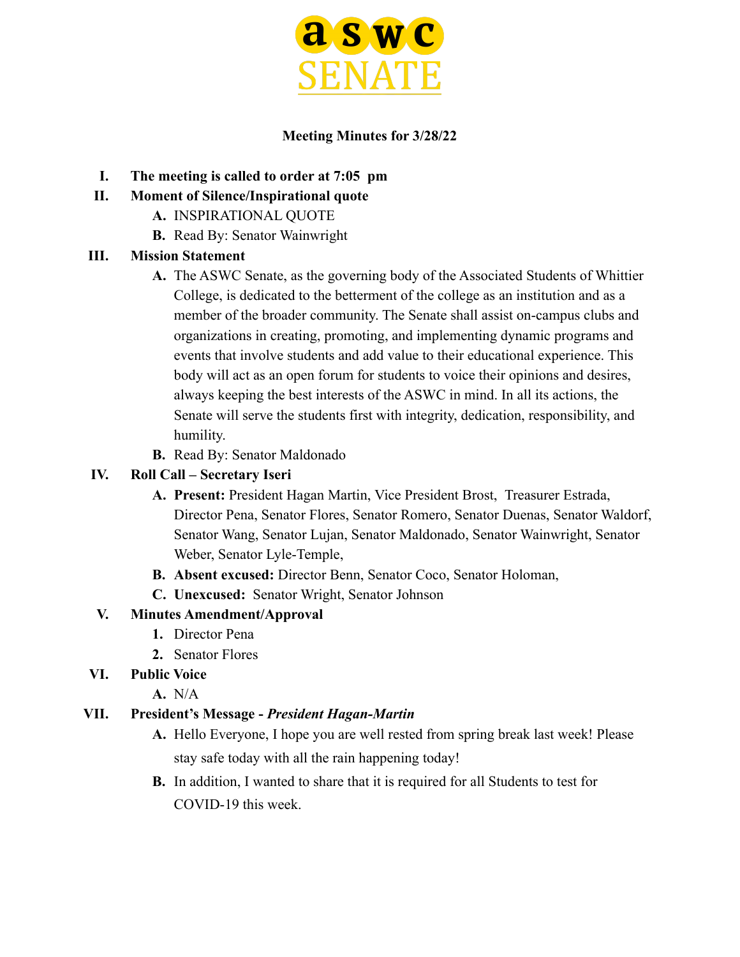

#### **Meeting Minutes for 3/28/22**

- **I. The meeting is called to order at 7:05 pm**
- **II. Moment of Silence/Inspirational quote**
	- **A.** INSPIRATIONAL QUOTE
	- **B.** Read By: Senator Wainwright

## **III. Mission Statement**

- **A.** The ASWC Senate, as the governing body of the Associated Students of Whittier College, is dedicated to the betterment of the college as an institution and as a member of the broader community. The Senate shall assist on-campus clubs and organizations in creating, promoting, and implementing dynamic programs and events that involve students and add value to their educational experience. This body will act as an open forum for students to voice their opinions and desires, always keeping the best interests of the ASWC in mind. In all its actions, the Senate will serve the students first with integrity, dedication, responsibility, and humility.
- **B.** Read By: Senator Maldonado

#### **IV. Roll Call – Secretary Iseri**

- **A. Present:** President Hagan Martin, Vice President Brost, Treasurer Estrada, Director Pena, Senator Flores, Senator Romero, Senator Duenas, Senator Waldorf, Senator Wang, Senator Lujan, Senator Maldonado, Senator Wainwright, Senator Weber, Senator Lyle-Temple,
- **B. Absent excused:** Director Benn, Senator Coco, Senator Holoman,
- **C. Unexcused:** Senator Wright, Senator Johnson

## **V. Minutes Amendment/Approval**

- **1.** Director Pena
- **2.** Senator Flores
- **VI. Public Voice**
	- **A.** N/A

#### **VII. President's Message -** *President Hagan-Martin*

- **A.** Hello Everyone, I hope you are well rested from spring break last week! Please stay safe today with all the rain happening today!
- **B.** In addition, I wanted to share that it is required for all Students to test for COVID-19 this week.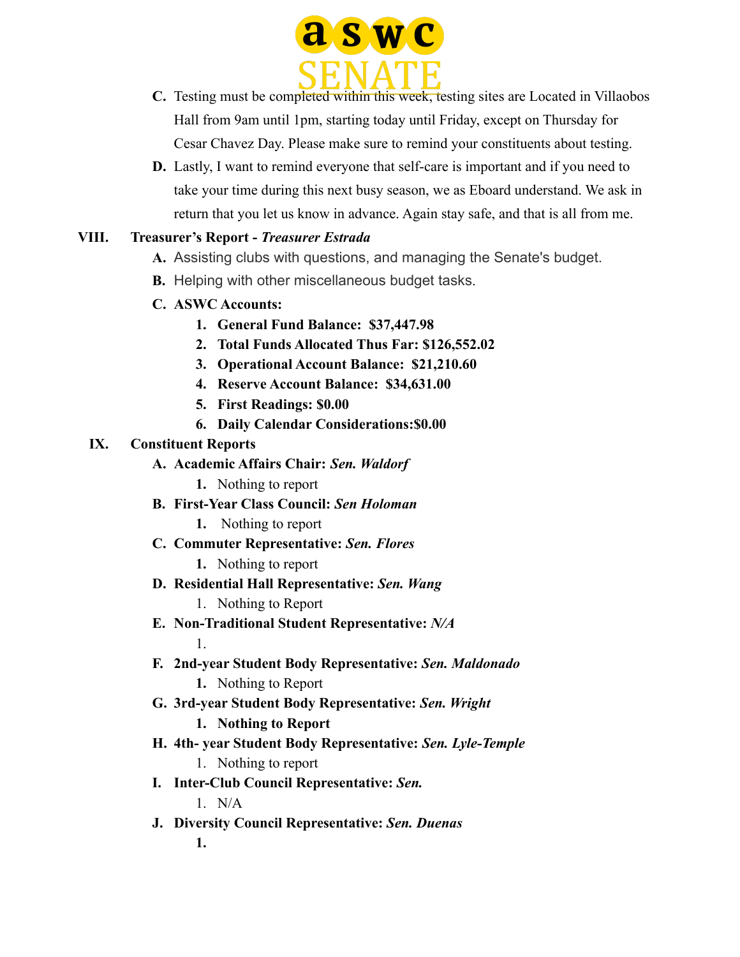

- **C.** Testing must be completed within this week, testing sites are Located in Villaobos Hall from 9am until 1pm, starting today until Friday, except on Thursday for Cesar Chavez Day. Please make sure to remind your constituents about testing.
- **D.** Lastly, I want to remind everyone that self-care is important and if you need to take your time during this next busy season, we as Eboard understand. We ask in return that you let us know in advance. Again stay safe, and that is all from me.

## **VIII. Treasurer's Report -** *Treasurer Estrada*

- **A.** Assisting clubs with questions, and managing the Senate's budget.
- **B.** Helping with other miscellaneous budget tasks.
- **C. ASWC Accounts:**
	- **1. General Fund Balance: \$37,447.98**
	- **2. Total Funds Allocated Thus Far: \$126,552.02**
	- **3. Operational Account Balance: \$21,210.60**
	- **4. Reserve Account Balance: \$34,631.00**
	- **5. First Readings: \$0.00**
	- **6. Daily Calendar Considerations:\$0.00**

#### **IX. Constituent Reports**

- **A. Academic Affairs Chair:** *Sen. Waldorf*
	- **1.** Nothing to report
- **B. First-Year Class Council:** *Sen Holoman*
	- **1.** Nothing to report
- **C. Commuter Representative:** *Sen. Flores*
	- **1.** Nothing to report
- **D. Residential Hall Representative:** *Sen. Wang*
	- 1. Nothing to Report
- **E. Non-Traditional Student Representative:** *N/A*

1.

- **F. 2nd-year Student Body Representative:** *Sen. Maldonado*
	- **1.** Nothing to Report
- **G. 3rd-year Student Body Representative:** *Sen. Wright*
	- **1. Nothing to Report**
- **H. 4th- year Student Body Representative:** *Sen. Lyle-Temple*
	- 1. Nothing to report
- **I. Inter-Club Council Representative:** *Sen.*

1. N/A

**J. Diversity Council Representative:** *Sen. Duenas* **1.**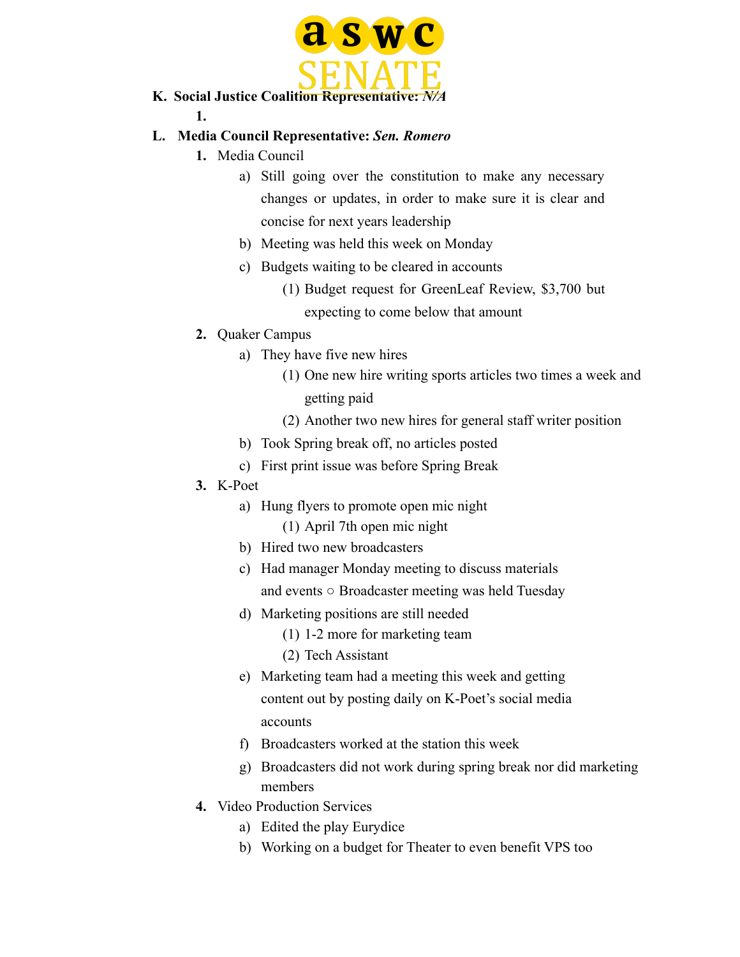

**K. Social Justice Coalition Representative:** *N/A* **1.**

#### **L. Media Council Representative:** *Sen. Romero*

- **1.** Media Council
	- a) Still going over the constitution to make any necessary changes or updates, in order to make sure it is clear and concise for next years leadership
	- b) Meeting was held this week on Monday
	- c) Budgets waiting to be cleared in accounts
		- (1) Budget request for GreenLeaf Review, \$3,700 but expecting to come below that amount
- **2.** Quaker Campus
	- a) They have five new hires
		- (1) One new hire writing sports articles two times a week and getting paid
		- (2) Another two new hires for general staff writer position
	- b) Took Spring break off, no articles posted
	- c) First print issue was before Spring Break
- **3.** K-Poet
	- a) Hung flyers to promote open mic night
		- (1) April 7th open mic night
	- b) Hired two new broadcasters
	- c) Had manager Monday meeting to discuss materials and events ○ Broadcaster meeting was held Tuesday
	- d) Marketing positions are still needed
		- (1) 1-2 more for marketing team
		- (2) Tech Assistant
	- e) Marketing team had a meeting this week and getting content out by posting daily on K-Poet's social media accounts
	- f) Broadcasters worked at the station this week
	- g) Broadcasters did not work during spring break nor did marketing members
- **4.** Video Production Services
	- a) Edited the play Eurydice
	- b) Working on a budget for Theater to even benefit VPS too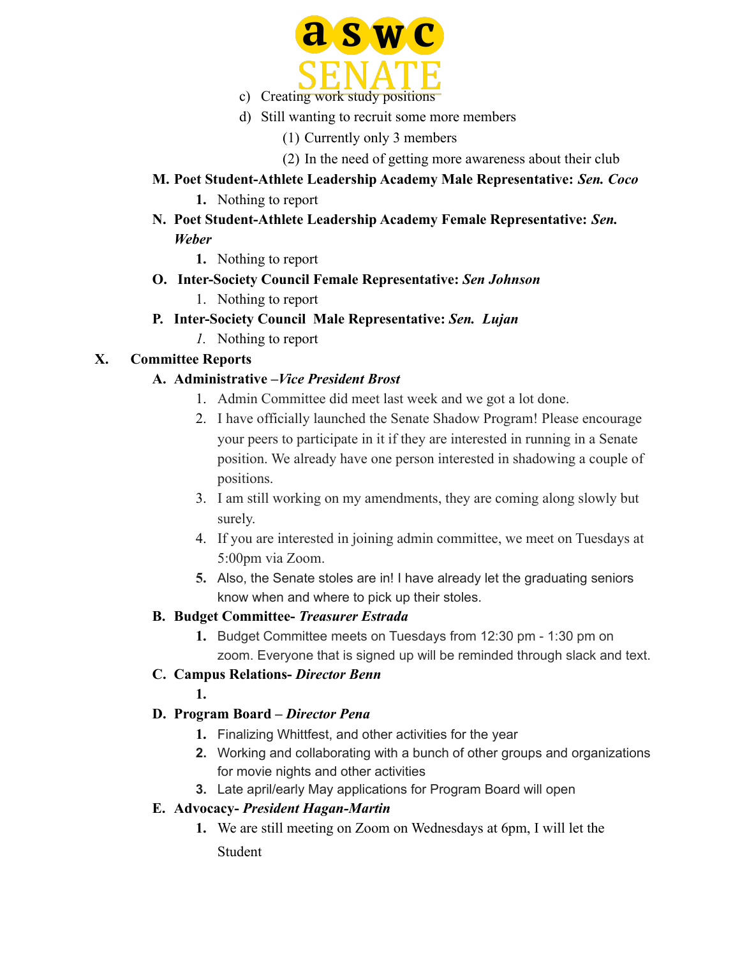

- d) Still wanting to recruit some more members
	- (1) Currently only 3 members
	- (2) In the need of getting more awareness about their club
- **M. Poet Student-Athlete Leadership Academy Male Representative:** *Sen. Coco* **1.** Nothing to report
- **N. Poet Student-Athlete Leadership Academy Female Representative:** *Sen. Weber*
	- **1.** Nothing to report
- **O. Inter-Society Council Female Representative:** *Sen Johnson*
	- 1. Nothing to report
- **P. Inter-Society Council Male Representative:** *Sen. Lujan*
	- *1.* Nothing to report

#### **X. Committee Reports**

#### **A. Administrative –***Vice President Brost*

- 1. Admin Committee did meet last week and we got a lot done.
- 2. I have officially launched the Senate Shadow Program! Please encourage your peers to participate in it if they are interested in running in a Senate position. We already have one person interested in shadowing a couple of positions.
- 3. I am still working on my amendments, they are coming along slowly but surely.
- 4. If you are interested in joining admin committee, we meet on Tuesdays at 5:00pm via Zoom.
- **5.** Also, the Senate stoles are in! I have already let the graduating seniors know when and where to pick up their stoles.

#### **B. Budget Committee-** *Treasurer Estrada*

**1.** Budget Committee meets on Tuesdays from 12:30 pm - 1:30 pm on zoom. Everyone that is signed up will be reminded through slack and text.

## **C. Campus Relations-** *Director Benn*

**1.**

## **D. Program Board –** *Director Pena*

- **1.** Finalizing Whittfest, and other activities for the year
- **2.** Working and collaborating with a bunch of other groups and organizations for movie nights and other activities
- **3.** Late april/early May applications for Program Board will open

#### **E. Advocacy-** *President Hagan-Martin*

**1.** We are still meeting on Zoom on Wednesdays at 6pm, I will let the Student